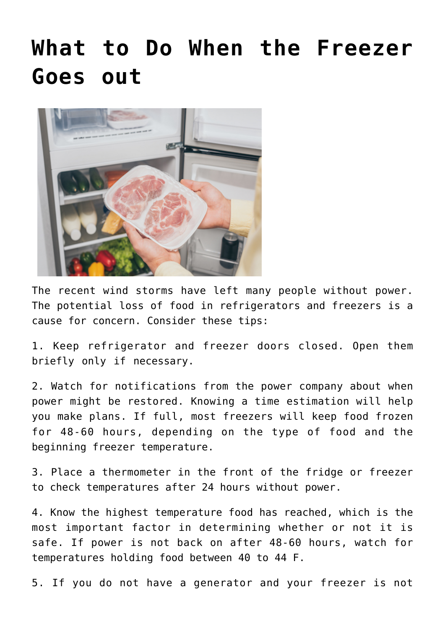## **[What to Do When the Freezer](https://livewellutah.org/2020/09/09/ask-an-expert-what-to-do-when-the-freezer-goes-out/) [Goes out](https://livewellutah.org/2020/09/09/ask-an-expert-what-to-do-when-the-freezer-goes-out/)**



The recent wind storms have left many people without power. The potential loss of food in refrigerators and freezers is a cause for concern. Consider these tips:

1. Keep refrigerator and freezer doors closed. Open them briefly only if necessary.

2. Watch for notifications from the power company about when power might be restored. Knowing a time estimation will help you make plans. If full, most freezers will keep food frozen for 48-60 hours, depending on the type of food and the beginning freezer temperature.

3. Place a thermometer in the front of the fridge or freezer to check temperatures after 24 hours without power.

4. Know the highest temperature food has reached, which is the most important factor in determining whether or not it is safe. If power is not back on after 48-60 hours, watch for temperatures holding food between 40 to 44 F.

5. If you do not have a generator and your freezer is not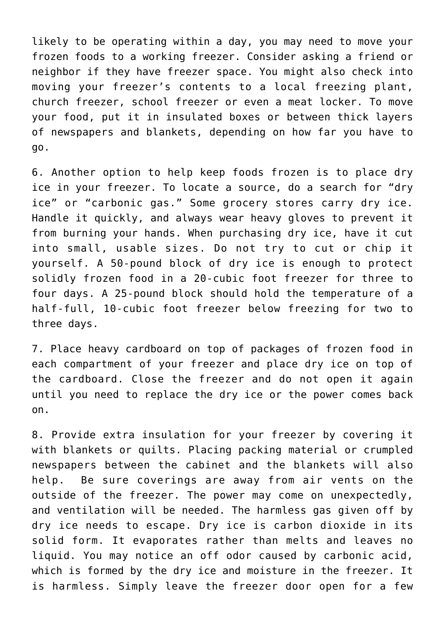likely to be operating within a day, you may need to move your frozen foods to a working freezer. Consider asking a friend or neighbor if they have freezer space. You might also check into moving your freezer's contents to a local freezing plant, church freezer, school freezer or even a meat locker. To move your food, put it in insulated boxes or between thick layers of newspapers and blankets, depending on how far you have to go.

6. Another option to help keep foods frozen is to place dry ice in your freezer. To locate a source, do a search for "dry ice" or "carbonic gas." Some grocery stores carry dry ice. Handle it quickly, and always wear heavy gloves to prevent it from burning your hands. When purchasing dry ice, have it cut into small, usable sizes. Do not try to cut or chip it yourself. A 50-pound block of dry ice is enough to protect solidly frozen food in a 20-cubic foot freezer for three to four days. A 25-pound block should hold the temperature of a half-full, 10-cubic foot freezer below freezing for two to three days.

7. Place heavy cardboard on top of packages of frozen food in each compartment of your freezer and place dry ice on top of the cardboard. Close the freezer and do not open it again until you need to replace the dry ice or the power comes back on.

8. Provide extra insulation for your freezer by covering it with blankets or quilts. Placing packing material or crumpled newspapers between the cabinet and the blankets will also help. Be sure coverings are away from air vents on the outside of the freezer. The power may come on unexpectedly, and ventilation will be needed. The harmless gas given off by dry ice needs to escape. Dry ice is carbon dioxide in its solid form. It evaporates rather than melts and leaves no liquid. You may notice an off odor caused by carbonic acid, which is formed by the dry ice and moisture in the freezer. It is harmless. Simply leave the freezer door open for a few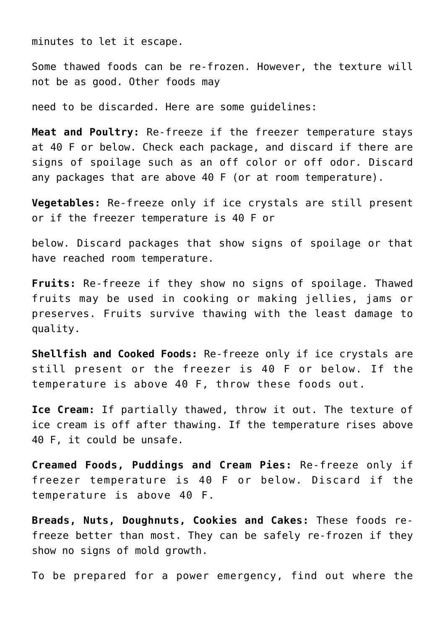minutes to let it escape.

Some thawed foods can be re-frozen. However, the texture will not be as good. Other foods may

need to be discarded. Here are some guidelines:

**Meat and Poultry:** Re-freeze if the freezer temperature stays at 40 F or below. Check each package, and discard if there are signs of spoilage such as an off color or off odor. Discard any packages that are above 40 F (or at room temperature).

**Vegetables:** Re-freeze only if ice crystals are still present or if the freezer temperature is 40 F or

below. Discard packages that show signs of spoilage or that have reached room temperature.

**Fruits:** Re-freeze if they show no signs of spoilage. Thawed fruits may be used in cooking or making jellies, jams or preserves. Fruits survive thawing with the least damage to quality.

**Shellfish and Cooked Foods:** Re-freeze only if ice crystals are still present or the freezer is 40 F or below. If the temperature is above 40 F, throw these foods out.

**Ice Cream:** If partially thawed, throw it out. The texture of ice cream is off after thawing. If the temperature rises above 40 F, it could be unsafe.

**Creamed Foods, Puddings and Cream Pies:** Re-freeze only if freezer temperature is 40 F or below. Discard if the temperature is above 40 F.

**Breads, Nuts, Doughnuts, Cookies and Cakes:** These foods refreeze better than most. They can be safely re-frozen if they show no signs of mold growth.

To be prepared for a power emergency, find out where the